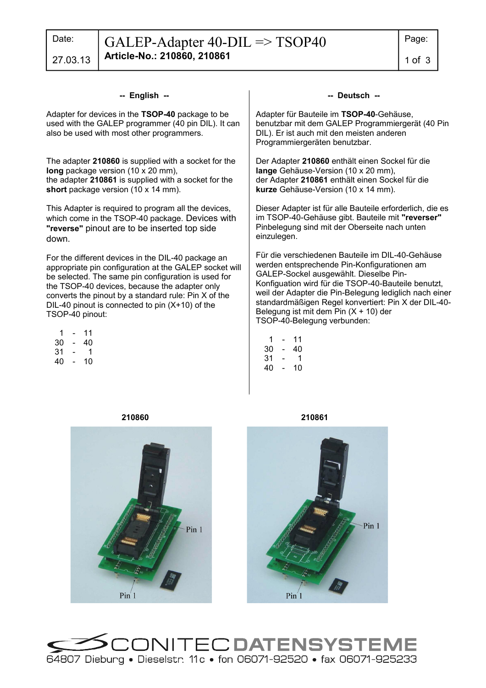27.03.13

### **-- English --**

Adapter for devices in the **TSOP-40** package to be used with the GALEP programmer (40 pin DIL). It can also be used with most other programmers.

The adapter **210860** is supplied with a socket for the **long** package version (10 x 20 mm), the adapter **210861** is supplied with a socket for the **short** package version (10 x 14 mm).

This Adapter is required to program all the devices, which come in the TSOP-40 package. Devices with **"reverse"** pinout are to be inserted top side down.

For the different devices in the DIL-40 package an appropriate pin configuration at the GALEP socket will be selected. The same pin configuration is used for the TSOP-40 devices, because the adapter only converts the pinout by a standard rule: Pin X of the DIL-40 pinout is connected to pin (X+10) of the TSOP-40 pinout:

| 1  | - | 11 |
|----|---|----|
| 30 | - | 40 |
| 31 | - | 1  |
| 40 | - | 10 |

#### **-- Deutsch --**

Adapter für Bauteile im **TSOP-40**-Gehäuse, benutzbar mit dem GALEP Programmiergerät (40 Pin DIL). Er ist auch mit den meisten anderen Programmiergeräten benutzbar.

Der Adapter **210860** enthält einen Sockel für die **lange** Gehäuse-Version (10 x 20 mm), der Adapter **210861** enthält einen Sockel für die **kurze** Gehäuse-Version (10 x 14 mm).

Dieser Adapter ist für alle Bauteile erforderlich, die es im TSOP-40-Gehäuse gibt. Bauteile mit **"reverser"** Pinbelegung sind mit der Oberseite nach unten einzulegen.

Für die verschiedenen Bauteile im DIL-40-Gehäuse werden entsprechende Pin-Konfigurationen am GALEP-Sockel ausgewählt. Dieselbe Pin-Konfiguation wird für die TSOP-40-Bauteile benutzt, weil der Adapter die Pin-Belegung lediglich nach einer standardmäßigen Regel konvertiert: Pin X der DIL-40- Belegung ist mit dem Pin  $(X + 10)$  der TSOP-40-Belegung verbunden:

| 1  | - | 11 |
|----|---|----|
| 30 | - | 40 |
| 31 | - | 1  |

40 - 10





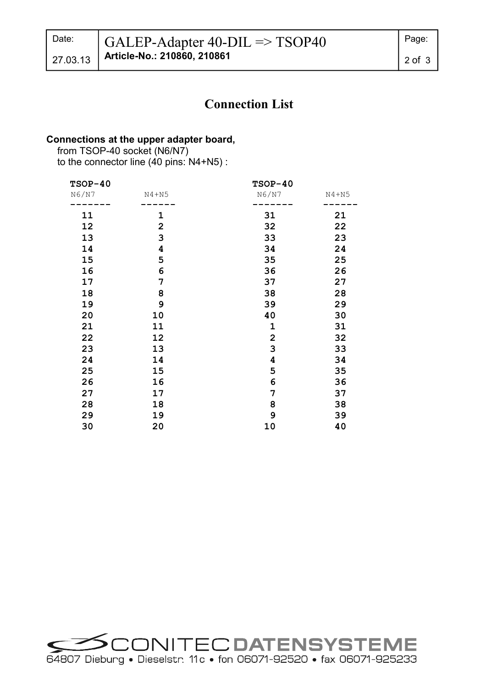# **Connection List**

## **Connections at the upper adapter board,**

 from TSOP-40 socket (N6/N7) to the connector line (40 pins: N4+N5) :

| $TSOP-40$ |                         | $TSOP-40$               |           |
|-----------|-------------------------|-------------------------|-----------|
| N6/N7     | $N4 + N5$               | N6/N7                   | $N4 + N5$ |
| 11        | 1                       | 31                      | 21        |
| 12        | $\overline{\mathbf{2}}$ | 32                      | 22        |
| 13        | 3                       | 33                      | 23        |
| 14        | 4                       | 34                      | 24        |
| 15        | 5                       | 35                      | 25        |
| 16        | 6                       | 36                      | 26        |
| 17        | 7                       | 37                      | 27        |
| 18        | 8                       | 38                      | 28        |
| 19        | 9                       | 39                      | 29        |
| 20        | 10                      | 40                      | 30        |
| 21        | 11                      | $\mathbf 1$             | 31        |
| 22        | 12                      | $\overline{2}$          | 32        |
| 23        | 13                      | 3                       | 33        |
| 24        | 14                      | $\overline{\mathbf{4}}$ | 34        |
| 25        | 15                      | 5                       | 35        |
| 26        | 16                      | 6                       | 36        |
| 27        | 17                      | 7                       | 37        |
| 28        | 18                      | 8                       | 38        |
| 29        | 19                      | 9                       | 39        |
| 30        | 20                      | 10                      | 40        |